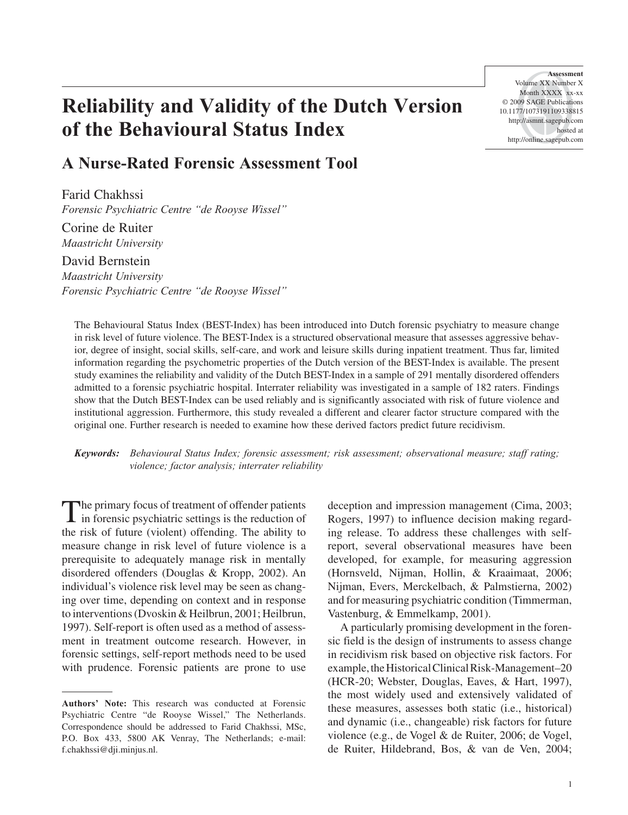# **Reliability and Validity of the Dutch Version of the Behavioural Status Index**

# **A Nurse-Rated Forensic Assessment Tool**

Farid Chakhssi *Forensic Psychiatric Centre "de Rooyse Wissel"*

Corine de Ruiter *Maastricht University*

David Bernstein *Maastricht University Forensic Psychiatric Centre "de Rooyse Wissel"*

**Assessment**  Volume XX Number X Month XXXX xx-xx © 2009 SAGE Publications 10.1177/1073191109338815 http://asmnt.sagepub.com hosted at http://online.sagepub.com

The Behavioural Status Index (BEST-Index) has been introduced into Dutch forensic psychiatry to measure change in risk level of future violence. The BEST-Index is a structured observational measure that assesses aggressive behavior, degree of insight, social skills, self-care, and work and leisure skills during inpatient treatment. Thus far, limited information regarding the psychometric properties of the Dutch version of the BEST-Index is available. The present study examines the reliability and validity of the Dutch BEST-Index in a sample of 291 mentally disordered offenders admitted to a forensic psychiatric hospital. Interrater reliability was investigated in a sample of 182 raters. Findings show that the Dutch BEST-Index can be used reliably and is significantly associated with risk of future violence and institutional aggression. Furthermore, this study revealed a different and clearer factor structure compared with the original one. Further research is needed to examine how these derived factors predict future recidivism.

*Keywords: Behavioural Status Index; forensic assessment; risk assessment; observational measure; staff rating; violence; factor analysis; interrater reliability*

The primary focus of treatment of offender patients in forensic psychiatric settings is the reduction of the risk of future (violent) offending. The ability to measure change in risk level of future violence is a prerequisite to adequately manage risk in mentally disordered offenders (Douglas & Kropp, 2002). An individual's violence risk level may be seen as changing over time, depending on context and in response to interventions (Dvoskin & Heilbrun, 2001; Heilbrun, 1997). Self-report is often used as a method of assessment in treatment outcome research. However, in forensic settings, self-report methods need to be used with prudence. Forensic patients are prone to use

deception and impression management (Cima, 2003; Rogers, 1997) to influence decision making regarding release. To address these challenges with selfreport, several observational measures have been developed, for example, for measuring aggression (Hornsveld, Nijman, Hollin, & Kraaimaat, 2006; Nijman, Evers, Merckelbach, & Palmstierna, 2002) and for measuring psychiatric condition (Timmerman, Vastenburg, & Emmelkamp, 2001).

A particularly promising development in the forensic field is the design of instruments to assess change in recidivism risk based on objective risk factors. For example, the Historical Clinical Risk-Management–20 (HCR-20; Webster, Douglas, Eaves, & Hart, 1997), the most widely used and extensively validated of these measures, assesses both static (i.e., historical) and dynamic (i.e., changeable) risk factors for future violence (e.g., de Vogel & de Ruiter, 2006; de Vogel, de Ruiter, Hildebrand, Bos, & van de Ven, 2004;

**Authors' Note:** This research was conducted at Forensic Psychiatric Centre "de Rooyse Wissel," The Netherlands. Correspondence should be addressed to Farid Chakhssi, MSc, P.O. Box 433, 5800 AK Venray, The Netherlands; e-mail: f.chakhssi@dji.minjus.nl.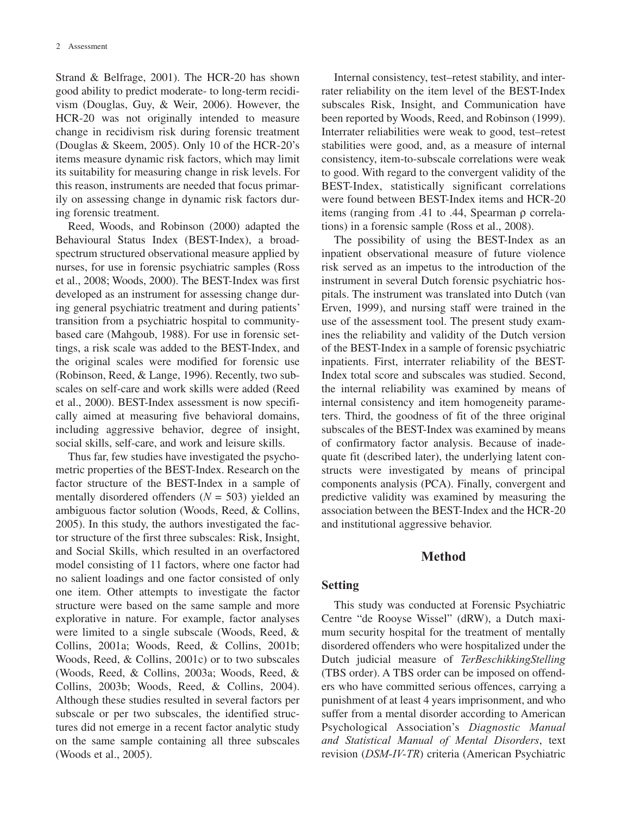Strand & Belfrage, 2001). The HCR-20 has shown good ability to predict moderate- to long-term recidivism (Douglas, Guy, & Weir, 2006). However, the HCR-20 was not originally intended to measure change in recidivism risk during forensic treatment (Douglas & Skeem, 2005). Only 10 of the HCR-20's items measure dynamic risk factors, which may limit its suitability for measuring change in risk levels. For this reason, instruments are needed that focus primarily on assessing change in dynamic risk factors during forensic treatment.

Reed, Woods, and Robinson (2000) adapted the Behavioural Status Index (BEST-Index), a broadspectrum structured observational measure applied by nurses, for use in forensic psychiatric samples (Ross et al., 2008; Woods, 2000). The BEST-Index was first developed as an instrument for assessing change during general psychiatric treatment and during patients' transition from a psychiatric hospital to communitybased care (Mahgoub, 1988). For use in forensic settings, a risk scale was added to the BEST-Index, and the original scales were modified for forensic use (Robinson, Reed, & Lange, 1996). Recently, two subscales on self-care and work skills were added (Reed et al., 2000). BEST-Index assessment is now specifically aimed at measuring five behavioral domains, including aggressive behavior, degree of insight, social skills, self-care, and work and leisure skills.

Thus far, few studies have investigated the psychometric properties of the BEST-Index. Research on the factor structure of the BEST-Index in a sample of mentally disordered offenders (*N* = 503) yielded an ambiguous factor solution (Woods, Reed, & Collins, 2005). In this study, the authors investigated the factor structure of the first three subscales: Risk, Insight, and Social Skills, which resulted in an overfactored model consisting of 11 factors, where one factor had no salient loadings and one factor consisted of only one item. Other attempts to investigate the factor structure were based on the same sample and more explorative in nature. For example, factor analyses were limited to a single subscale (Woods, Reed, & Collins, 2001a; Woods, Reed, & Collins, 2001b; Woods, Reed, & Collins, 2001c) or to two subscales (Woods, Reed, & Collins, 2003a; Woods, Reed, & Collins, 2003b; Woods, Reed, & Collins, 2004). Although these studies resulted in several factors per subscale or per two subscales, the identified structures did not emerge in a recent factor analytic study on the same sample containing all three subscales (Woods et al., 2005).

Internal consistency, test–retest stability, and interrater reliability on the item level of the BEST-Index subscales Risk, Insight, and Communication have been reported by Woods, Reed, and Robinson (1999). Interrater reliabilities were weak to good, test–retest stabilities were good, and, as a measure of internal consistency, item-to-subscale correlations were weak to good. With regard to the convergent validity of the BEST-Index, statistically significant correlations were found between BEST-Index items and HCR-20 items (ranging from .41 to .44, Spearman ρ correlations) in a forensic sample (Ross et al., 2008).

The possibility of using the BEST-Index as an inpatient observational measure of future violence risk served as an impetus to the introduction of the instrument in several Dutch forensic psychiatric hospitals. The instrument was translated into Dutch (van Erven, 1999), and nursing staff were trained in the use of the assessment tool. The present study examines the reliability and validity of the Dutch version of the BEST-Index in a sample of forensic psychiatric inpatients. First, interrater reliability of the BEST-Index total score and subscales was studied. Second, the internal reliability was examined by means of internal consistency and item homogeneity parameters. Third, the goodness of fit of the three original subscales of the BEST-Index was examined by means of confirmatory factor analysis. Because of inadequate fit (described later), the underlying latent constructs were investigated by means of principal components analysis (PCA). Finally, convergent and predictive validity was examined by measuring the association between the BEST-Index and the HCR-20 and institutional aggressive behavior.

#### **Method**

# **Setting**

This study was conducted at Forensic Psychiatric Centre "de Rooyse Wissel" (dRW), a Dutch maximum security hospital for the treatment of mentally disordered offenders who were hospitalized under the Dutch judicial measure of *TerBeschikkingStelling* (TBS order). A TBS order can be imposed on offenders who have committed serious offences, carrying a punishment of at least 4 years imprisonment, and who suffer from a mental disorder according to American Psychological Association's *Diagnostic Manual and Statistical Manual of Mental Disorders*, text revision (*DSM-IV-TR*) criteria (American Psychiatric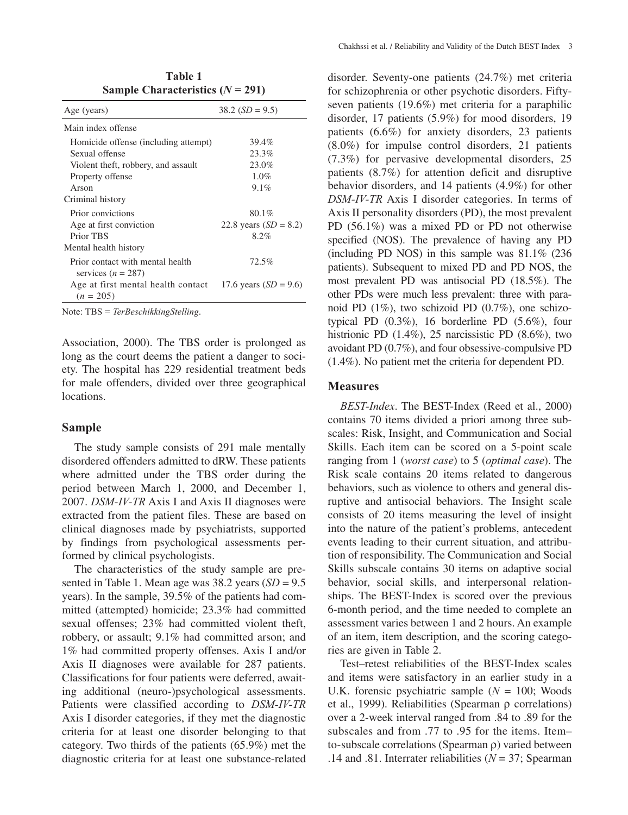| Sample Characteristics $(N = 291)$                       |                         |  |  |  |
|----------------------------------------------------------|-------------------------|--|--|--|
| Age (years)                                              | $38.2(SD = 9.5)$        |  |  |  |
| Main index offense                                       |                         |  |  |  |
| Homicide offense (including attempt)                     | 39.4%                   |  |  |  |
| Sexual offense                                           | 23.3%                   |  |  |  |
| Violent theft, robbery, and assault                      | 23.0%                   |  |  |  |
| Property offense                                         | 1.0%                    |  |  |  |
| Arson                                                    | 9.1%                    |  |  |  |
| Criminal history                                         |                         |  |  |  |
| Prior convictions                                        | 80.1%                   |  |  |  |
| Age at first conviction                                  | 22.8 years $(SD = 8.2)$ |  |  |  |
| Prior TBS                                                | 8.2%                    |  |  |  |
| Mental health history                                    |                         |  |  |  |
| Prior contact with mental health<br>services $(n = 287)$ | 72.5%                   |  |  |  |
| Age at first mental health contact<br>$(n = 205)$        | 17.6 years $(SD = 9.6)$ |  |  |  |

**Table 1**

Note: TBS = *TerBeschikkingStelling*.

Association, 2000). The TBS order is prolonged as long as the court deems the patient a danger to society. The hospital has 229 residential treatment beds for male offenders, divided over three geographical locations.

#### **Sample**

The study sample consists of 291 male mentally disordered offenders admitted to dRW. These patients where admitted under the TBS order during the period between March 1, 2000, and December 1, 2007. *DSM-IV-TR* Axis I and Axis II diagnoses were extracted from the patient files. These are based on clinical diagnoses made by psychiatrists, supported by findings from psychological assessments performed by clinical psychologists.

The characteristics of the study sample are presented in Table 1. Mean age was  $38.2$  years  $(SD = 9.5)$ years). In the sample, 39.5% of the patients had committed (attempted) homicide; 23.3% had committed sexual offenses; 23% had committed violent theft, robbery, or assault; 9.1% had committed arson; and 1% had committed property offenses. Axis I and/or Axis II diagnoses were available for 287 patients. Classifications for four patients were deferred, awaiting additional (neuro-)psychological assessments. Patients were classified according to *DSM-IV-TR* Axis I disorder categories, if they met the diagnostic criteria for at least one disorder belonging to that category. Two thirds of the patients (65.9%) met the diagnostic criteria for at least one substance-related

disorder. Seventy-one patients (24.7%) met criteria for schizophrenia or other psychotic disorders. Fiftyseven patients (19.6%) met criteria for a paraphilic disorder, 17 patients (5.9%) for mood disorders, 19 patients (6.6%) for anxiety disorders, 23 patients (8.0%) for impulse control disorders, 21 patients (7.3%) for pervasive developmental disorders, 25 patients (8.7%) for attention deficit and disruptive behavior disorders, and 14 patients (4.9%) for other *DSM-IV-TR* Axis I disorder categories. In terms of Axis II personality disorders (PD), the most prevalent PD (56.1%) was a mixed PD or PD not otherwise specified (NOS). The prevalence of having any PD (including PD NOS) in this sample was 81.1% (236 patients). Subsequent to mixed PD and PD NOS, the most prevalent PD was antisocial PD (18.5%). The other PDs were much less prevalent: three with paranoid PD (1%), two schizoid PD (0.7%), one schizotypical PD  $(0.3\%)$ , 16 borderline PD  $(5.6\%)$ , four histrionic PD (1.4%), 25 narcissistic PD (8.6%), two avoidant PD (0.7%), and four obsessive-compulsive PD (1.4%). No patient met the criteria for dependent PD.

#### **Measures**

*BEST-Index*. The BEST-Index (Reed et al., 2000) contains 70 items divided a priori among three subscales: Risk, Insight, and Communication and Social Skills. Each item can be scored on a 5-point scale ranging from 1 (*worst case*) to 5 (*optimal case*). The Risk scale contains 20 items related to dangerous behaviors, such as violence to others and general disruptive and antisocial behaviors. The Insight scale consists of 20 items measuring the level of insight into the nature of the patient's problems, antecedent events leading to their current situation, and attribution of responsibility. The Communication and Social Skills subscale contains 30 items on adaptive social behavior, social skills, and interpersonal relationships. The BEST-Index is scored over the previous 6-month period, and the time needed to complete an assessment varies between 1 and 2 hours. An example of an item, item description, and the scoring categories are given in Table 2.

Test–retest reliabilities of the BEST-Index scales and items were satisfactory in an earlier study in a U.K. forensic psychiatric sample (*N* = 100; Woods et al., 1999). Reliabilities (Spearman ρ correlations) over a 2-week interval ranged from .84 to .89 for the subscales and from .77 to .95 for the items. Item– to-subscale correlations (Spearman ρ) varied between .14 and .81. Interrater reliabilities ( $N = 37$ ; Spearman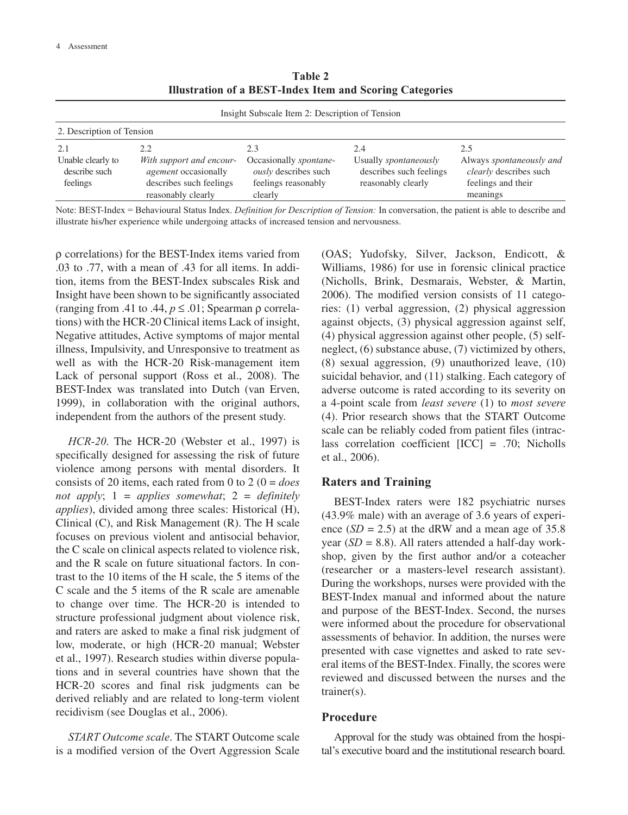**Table 2 Illustration of a BEST-Index Item and Scoring Categories**

| Insight Subscale Item 2: Description of Tension |                                                                                    |                                                                              |                                                                               |                                                                          |  |
|-------------------------------------------------|------------------------------------------------------------------------------------|------------------------------------------------------------------------------|-------------------------------------------------------------------------------|--------------------------------------------------------------------------|--|
| 2. Description of Tension                       |                                                                                    |                                                                              |                                                                               |                                                                          |  |
| 2.1                                             | 2.2                                                                                | 2.3                                                                          | 2.4                                                                           | 2.5                                                                      |  |
| Unable clearly to<br>describe such<br>feelings  | With support and encour-<br><i>agement</i> occasionally<br>describes such feelings | Occasionally spontane-<br><i>ously</i> describes such<br>feelings reasonably | Usually <i>spontaneously</i><br>describes such feelings<br>reasonably clearly | Always spontaneously and<br>clearly describes such<br>feelings and their |  |
|                                                 | reasonably clearly                                                                 | clearly                                                                      |                                                                               | meanings                                                                 |  |

Note: BEST-Index = Behavioural Status Index. *Definition for Description of Tension:* In conversation, the patient is able to describe and illustrate his/her experience while undergoing attacks of increased tension and nervousness.

ρ correlations) for the BEST-Index items varied from .03 to .77, with a mean of .43 for all items. In addition, items from the BEST-Index subscales Risk and Insight have been shown to be significantly associated (ranging from .41 to .44,  $p \le 0.01$ ; Spearman ρ correlations) with the HCR-20 Clinical items Lack of insight, Negative attitudes, Active symptoms of major mental illness, Impulsivity, and Unresponsive to treatment as well as with the HCR-20 Risk-management item Lack of personal support (Ross et al., 2008). The BEST-Index was translated into Dutch (van Erven, 1999), in collaboration with the original authors, independent from the authors of the present study.

*HCR-20*. The HCR-20 (Webster et al., 1997) is specifically designed for assessing the risk of future violence among persons with mental disorders. It consists of 20 items, each rated from 0 to 2 (0 = *does not apply*; 1 = *applies somewhat*; 2 = *definitely applies*), divided among three scales: Historical (H), Clinical (C), and Risk Management (R). The H scale focuses on previous violent and antisocial behavior, the C scale on clinical aspects related to violence risk, and the R scale on future situational factors. In contrast to the 10 items of the H scale, the 5 items of the C scale and the 5 items of the R scale are amenable to change over time. The HCR-20 is intended to structure professional judgment about violence risk, and raters are asked to make a final risk judgment of low, moderate, or high (HCR-20 manual; Webster et al., 1997). Research studies within diverse populations and in several countries have shown that the HCR-20 scores and final risk judgments can be derived reliably and are related to long-term violent recidivism (see Douglas et al., 2006).

*START Outcome scale*. The START Outcome scale is a modified version of the Overt Aggression Scale (OAS; Yudofsky, Silver, Jackson, Endicott, & Williams, 1986) for use in forensic clinical practice (Nicholls, Brink, Desmarais, Webster, & Martin, 2006). The modified version consists of 11 categories: (1) verbal aggression, (2) physical aggression against objects, (3) physical aggression against self, (4) physical aggression against other people, (5) selfneglect, (6) substance abuse, (7) victimized by others, (8) sexual aggression, (9) unauthorized leave, (10) suicidal behavior, and (11) stalking. Each category of adverse outcome is rated according to its severity on a 4-point scale from *least severe* (1) to *most severe* (4). Prior research shows that the START Outcome scale can be reliably coded from patient files (intraclass correlation coefficient [ICC] = .70; Nicholls et al., 2006).

# **Raters and Training**

BEST-Index raters were 182 psychiatric nurses (43.9% male) with an average of 3.6 years of experience  $(SD = 2.5)$  at the dRW and a mean age of 35.8 year  $(SD = 8.8)$ . All raters attended a half-day workshop, given by the first author and/or a coteacher (researcher or a masters-level research assistant). During the workshops, nurses were provided with the BEST-Index manual and informed about the nature and purpose of the BEST-Index. Second, the nurses were informed about the procedure for observational assessments of behavior. In addition, the nurses were presented with case vignettes and asked to rate several items of the BEST-Index. Finally, the scores were reviewed and discussed between the nurses and the trainer(s).

#### **Procedure**

Approval for the study was obtained from the hospital's executive board and the institutional research board.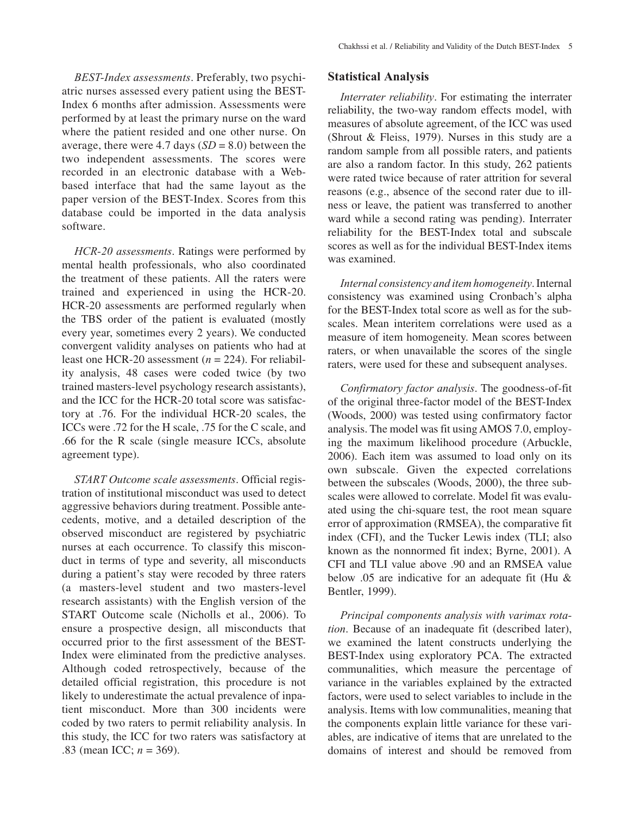*BEST-Index assessments*. Preferably, two psychiatric nurses assessed every patient using the BEST-Index 6 months after admission. Assessments were performed by at least the primary nurse on the ward where the patient resided and one other nurse. On average, there were 4.7 days  $(SD = 8.0)$  between the two independent assessments. The scores were recorded in an electronic database with a Webbased interface that had the same layout as the paper version of the BEST-Index. Scores from this database could be imported in the data analysis software.

*HCR-20 assessments*. Ratings were performed by mental health professionals, who also coordinated the treatment of these patients. All the raters were trained and experienced in using the HCR-20. HCR-20 assessments are performed regularly when the TBS order of the patient is evaluated (mostly every year, sometimes every 2 years). We conducted convergent validity analyses on patients who had at least one HCR-20 assessment (*n* = 224). For reliability analysis, 48 cases were coded twice (by two trained masters-level psychology research assistants), and the ICC for the HCR-20 total score was satisfactory at .76. For the individual HCR-20 scales, the ICCs were .72 for the H scale, .75 for the C scale, and .66 for the R scale (single measure ICCs, absolute agreement type).

*START Outcome scale assessments*. Official registration of institutional misconduct was used to detect aggressive behaviors during treatment. Possible antecedents, motive, and a detailed description of the observed misconduct are registered by psychiatric nurses at each occurrence. To classify this misconduct in terms of type and severity, all misconducts during a patient's stay were recoded by three raters (a masters-level student and two masters-level research assistants) with the English version of the START Outcome scale (Nicholls et al., 2006). To ensure a prospective design, all misconducts that occurred prior to the first assessment of the BEST-Index were eliminated from the predictive analyses. Although coded retrospectively, because of the detailed official registration, this procedure is not likely to underestimate the actual prevalence of inpatient misconduct. More than 300 incidents were coded by two raters to permit reliability analysis. In this study, the ICC for two raters was satisfactory at .83 (mean ICC; *n* = 369).

#### **Statistical Analysis**

*Interrater reliability*. For estimating the interrater reliability, the two-way random effects model, with measures of absolute agreement, of the ICC was used (Shrout & Fleiss, 1979). Nurses in this study are a random sample from all possible raters, and patients are also a random factor. In this study, 262 patients were rated twice because of rater attrition for several reasons (e.g., absence of the second rater due to illness or leave, the patient was transferred to another ward while a second rating was pending). Interrater reliability for the BEST-Index total and subscale scores as well as for the individual BEST-Index items was examined.

*Internal consistency and item homogeneity*. Internal consistency was examined using Cronbach's alpha for the BEST-Index total score as well as for the subscales. Mean interitem correlations were used as a measure of item homogeneity. Mean scores between raters, or when unavailable the scores of the single raters, were used for these and subsequent analyses.

*Confirmatory factor analysis*. The goodness-of-fit of the original three-factor model of the BEST-Index (Woods, 2000) was tested using confirmatory factor analysis. The model was fit using AMOS 7.0, employing the maximum likelihood procedure (Arbuckle, 2006). Each item was assumed to load only on its own subscale. Given the expected correlations between the subscales (Woods, 2000), the three subscales were allowed to correlate. Model fit was evaluated using the chi-square test, the root mean square error of approximation (RMSEA), the comparative fit index (CFI), and the Tucker Lewis index (TLI; also known as the nonnormed fit index; Byrne, 2001). A CFI and TLI value above .90 and an RMSEA value below .05 are indicative for an adequate fit (Hu & Bentler, 1999).

*Principal components analysis with varimax rotation*. Because of an inadequate fit (described later), we examined the latent constructs underlying the BEST-Index using exploratory PCA. The extracted communalities, which measure the percentage of variance in the variables explained by the extracted factors, were used to select variables to include in the analysis. Items with low communalities, meaning that the components explain little variance for these variables, are indicative of items that are unrelated to the domains of interest and should be removed from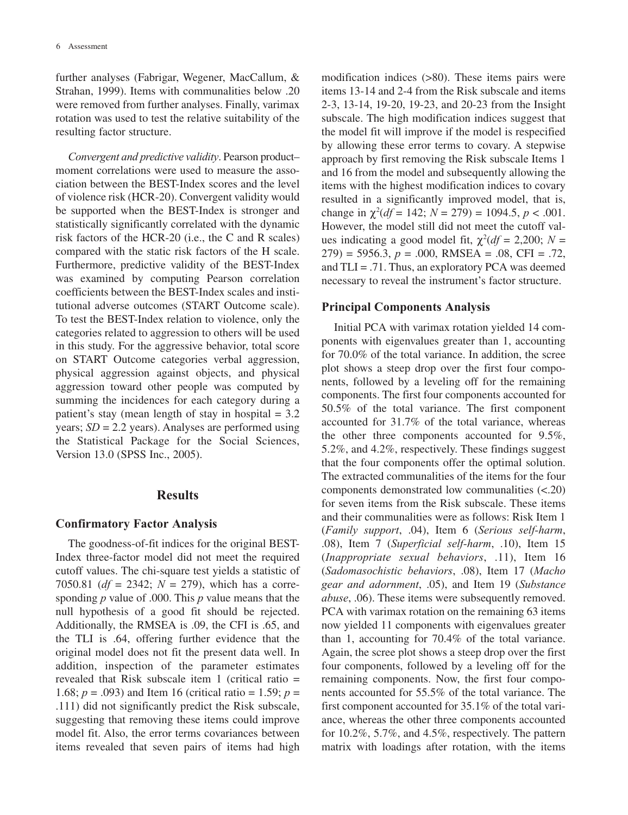further analyses (Fabrigar, Wegener, MacCallum, & Strahan, 1999). Items with communalities below .20 were removed from further analyses. Finally, varimax rotation was used to test the relative suitability of the resulting factor structure.

*Convergent and predictive validity*. Pearson product– moment correlations were used to measure the association between the BEST-Index scores and the level of violence risk (HCR-20). Convergent validity would be supported when the BEST-Index is stronger and statistically significantly correlated with the dynamic risk factors of the HCR-20 (i.e., the C and R scales) compared with the static risk factors of the H scale. Furthermore, predictive validity of the BEST-Index was examined by computing Pearson correlation coefficients between the BEST-Index scales and institutional adverse outcomes (START Outcome scale). To test the BEST-Index relation to violence, only the categories related to aggression to others will be used in this study. For the aggressive behavior, total score on START Outcome categories verbal aggression, physical aggression against objects, and physical aggression toward other people was computed by summing the incidences for each category during a patient's stay (mean length of stay in hospital  $= 3.2$ ) years; *SD* = 2.2 years). Analyses are performed using the Statistical Package for the Social Sciences, Version 13.0 (SPSS Inc., 2005).

#### **Results**

#### **Confirmatory Factor Analysis**

The goodness-of-fit indices for the original BEST-Index three-factor model did not meet the required cutoff values. The chi-square test yields a statistic of 7050.81 (*df* = 2342; *N* = 279), which has a corresponding *p* value of .000. This *p* value means that the null hypothesis of a good fit should be rejected. Additionally, the RMSEA is .09, the CFI is .65, and the TLI is .64, offering further evidence that the original model does not fit the present data well. In addition, inspection of the parameter estimates revealed that Risk subscale item 1 (critical ratio = 1.68; *p* = .093) and Item 16 (critical ratio = 1.59; *p* = .111) did not significantly predict the Risk subscale, suggesting that removing these items could improve model fit. Also, the error terms covariances between items revealed that seven pairs of items had high

modification indices (>80). These items pairs were items 13-14 and 2-4 from the Risk subscale and items 2-3, 13-14, 19-20, 19-23, and 20-23 from the Insight subscale. The high modification indices suggest that the model fit will improve if the model is respecified by allowing these error terms to covary. A stepwise approach by first removing the Risk subscale Items 1 and 16 from the model and subsequently allowing the items with the highest modification indices to covary resulted in a significantly improved model, that is, change in  $\chi^2(df = 142; N = 279) = 1094.5, p < .001$ . However, the model still did not meet the cutoff values indicating a good model fit,  $\chi^2(df = 2,200; N =$  $279$ ) = 5956.3,  $p = .000$ , RMSEA = .08, CFI = .72, and  $TLI = .71$ . Thus, an exploratory PCA was deemed necessary to reveal the instrument's factor structure.

#### **Principal Components Analysis**

Initial PCA with varimax rotation yielded 14 components with eigenvalues greater than 1, accounting for 70.0% of the total variance. In addition, the scree plot shows a steep drop over the first four components, followed by a leveling off for the remaining components. The first four components accounted for 50.5% of the total variance. The first component accounted for 31.7% of the total variance, whereas the other three components accounted for 9.5%, 5.2%, and 4.2%, respectively. These findings suggest that the four components offer the optimal solution. The extracted communalities of the items for the four components demonstrated low communalities (<.20) for seven items from the Risk subscale. These items and their communalities were as follows: Risk Item 1 (*Family support*, .04), Item 6 (*Serious self-harm*, .08), Item 7 (*Superficial self-harm*, .10), Item 15 (*Inappropriate sexual behaviors*, .11), Item 16 (*Sadomasochistic behaviors*, .08), Item 17 (*Macho gear and adornment*, .05), and Item 19 (*Substance abuse*, .06). These items were subsequently removed. PCA with varimax rotation on the remaining 63 items now yielded 11 components with eigenvalues greater than 1, accounting for 70.4% of the total variance. Again, the scree plot shows a steep drop over the first four components, followed by a leveling off for the remaining components. Now, the first four components accounted for 55.5% of the total variance. The first component accounted for 35.1% of the total variance, whereas the other three components accounted for 10.2%, 5.7%, and 4.5%, respectively. The pattern matrix with loadings after rotation, with the items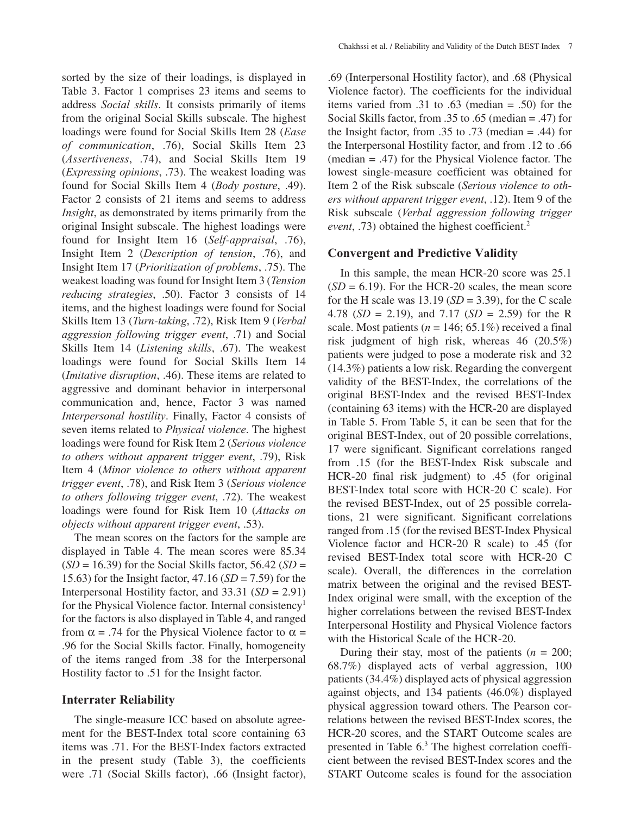sorted by the size of their loadings, is displayed in Table 3. Factor 1 comprises 23 items and seems to address *Social skills*. It consists primarily of items from the original Social Skills subscale. The highest loadings were found for Social Skills Item 28 (*Ease of communication*, .76), Social Skills Item 23 (*Assertiveness*, .74), and Social Skills Item 19 (*Expressing opinions*, .73). The weakest loading was found for Social Skills Item 4 (*Body posture*, .49). Factor 2 consists of 21 items and seems to address *Insight*, as demonstrated by items primarily from the original Insight subscale. The highest loadings were found for Insight Item 16 (*Self-appraisal*, .76), Insight Item 2 (*Description of tension*, .76), and Insight Item 17 (*Prioritization of problems*, .75). The weakest loading was found for Insight Item 3 (*Tension reducing strategies*, .50). Factor 3 consists of 14 items, and the highest loadings were found for Social Skills Item 13 (*Turn-taking*, .72), Risk Item 9 (*Verbal aggression following trigger event*, .71) and Social Skills Item 14 (*Listening skills*, .67). The weakest loadings were found for Social Skills Item 14 (*Imitative disruption*, .46). These items are related to aggressive and dominant behavior in interpersonal communication and, hence, Factor 3 was named *Interpersonal hostility*. Finally, Factor 4 consists of seven items related to *Physical violence*. The highest loadings were found for Risk Item 2 (*Serious violence to others without apparent trigger event*, .79), Risk Item 4 (*Minor violence to others without apparent trigger event*, .78), and Risk Item 3 (*Serious violence to others following trigger event*, .72). The weakest loadings were found for Risk Item 10 (*Attacks on objects without apparent trigger event*, .53).

The mean scores on the factors for the sample are displayed in Table 4. The mean scores were 85.34 (*SD* = 16.39) for the Social Skills factor, 56.42 (*SD* = 15.63) for the Insight factor, 47.16 (*SD* = 7.59) for the Interpersonal Hostility factor, and 33.31 (*SD* = 2.91) for the Physical Violence factor. Internal consistency<sup>1</sup> for the factors is also displayed in Table 4, and ranged from  $\alpha$  = .74 for the Physical Violence factor to  $\alpha$  = .96 for the Social Skills factor. Finally, homogeneity of the items ranged from .38 for the Interpersonal Hostility factor to .51 for the Insight factor.

# **Interrater Reliability**

The single-measure ICC based on absolute agreement for the BEST-Index total score containing 63 items was .71. For the BEST-Index factors extracted in the present study (Table 3), the coefficients were .71 (Social Skills factor), .66 (Insight factor),

.69 (Interpersonal Hostility factor), and .68 (Physical Violence factor). The coefficients for the individual items varied from .31 to .63 (median = .50) for the Social Skills factor, from .35 to .65 (median = .47) for the Insight factor, from .35 to .73 (median  $=$  .44) for the Interpersonal Hostility factor, and from .12 to .66 (median = .47) for the Physical Violence factor. The lowest single-measure coefficient was obtained for Item 2 of the Risk subscale (*Serious violence to others without apparent trigger event*, .12). Item 9 of the Risk subscale (*Verbal aggression following trigger event*, .73) obtained the highest coefficient.<sup>2</sup>

# **Convergent and Predictive Validity**

In this sample, the mean HCR-20 score was 25.1  $(SD = 6.19)$ . For the HCR-20 scales, the mean score for the H scale was  $13.19$  (*SD* = 3.39), for the C scale 4.78 (*SD* = 2.19), and 7.17 (*SD* = 2.59) for the R scale. Most patients ( $n = 146$ ; 65.1%) received a final risk judgment of high risk, whereas 46 (20.5%) patients were judged to pose a moderate risk and 32 (14.3%) patients a low risk. Regarding the convergent validity of the BEST-Index, the correlations of the original BEST-Index and the revised BEST-Index (containing 63 items) with the HCR-20 are displayed in Table 5. From Table 5, it can be seen that for the original BEST-Index, out of 20 possible correlations, 17 were significant. Significant correlations ranged from .15 (for the BEST-Index Risk subscale and HCR-20 final risk judgment) to .45 (for original BEST-Index total score with HCR-20 C scale). For the revised BEST-Index, out of 25 possible correlations, 21 were significant. Significant correlations ranged from .15 (for the revised BEST-Index Physical Violence factor and HCR-20 R scale) to .45 (for revised BEST-Index total score with HCR-20 C scale). Overall, the differences in the correlation matrix between the original and the revised BEST-Index original were small, with the exception of the higher correlations between the revised BEST-Index Interpersonal Hostility and Physical Violence factors with the Historical Scale of the HCR-20.

During their stay, most of the patients  $(n = 200)$ ; 68.7%) displayed acts of verbal aggression, 100 patients (34.4%) displayed acts of physical aggression against objects, and 134 patients (46.0%) displayed physical aggression toward others. The Pearson correlations between the revised BEST-Index scores, the HCR-20 scores, and the START Outcome scales are presented in Table 6.<sup>3</sup> The highest correlation coefficient between the revised BEST-Index scores and the START Outcome scales is found for the association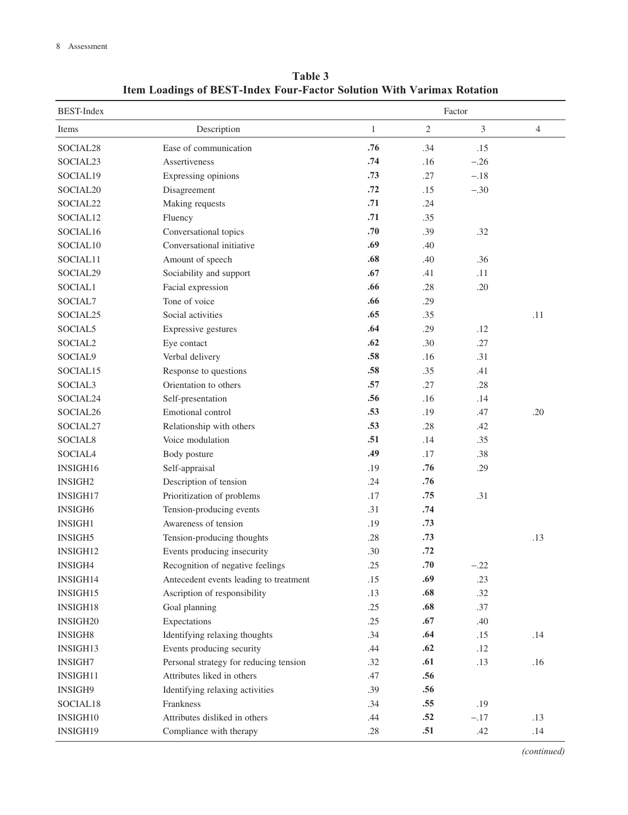| <b>BEST-Index</b>    |                                        |              | Factor         |                |                |
|----------------------|----------------------------------------|--------------|----------------|----------------|----------------|
| Items                | Description                            | $\mathbf{1}$ | $\mathfrak{2}$ | $\mathfrak{Z}$ | $\overline{4}$ |
| SOCIAL28             | Ease of communication                  | .76          | .34            | .15            |                |
| SOCIAL23             | Assertiveness                          | .74          | .16            | $-.26$         |                |
| SOCIAL19             | Expressing opinions                    | .73          | .27            | $-.18$         |                |
| SOCIAL <sub>20</sub> | Disagreement                           | .72          | .15            | $-.30$         |                |
| SOCIAL22             | Making requests                        | .71          | .24            |                |                |
| SOCIAL12             | Fluency                                | .71          | .35            |                |                |
| SOCIAL16             | Conversational topics                  | .70          | .39            | .32            |                |
| SOCIAL10             | Conversational initiative              | .69          | .40            |                |                |
| SOCIAL11             | Amount of speech                       | .68          | .40            | .36            |                |
| SOCIAL29             | Sociability and support                | .67          | .41            | .11            |                |
| SOCIAL1              | Facial expression                      | .66          | .28            | .20            |                |
| SOCIAL7              | Tone of voice                          | .66          | .29            |                |                |
| SOCIAL <sub>25</sub> | Social activities                      | .65          | .35            |                | .11            |
| SOCIAL5              | Expressive gestures                    | .64          | .29            | .12            |                |
| SOCIAL2              | Eye contact                            | .62          | .30            | .27            |                |
| SOCIAL9              | Verbal delivery                        | .58          | .16            | .31            |                |
| SOCIAL15             | Response to questions                  | .58          | .35            | .41            |                |
| SOCIAL3              | Orientation to others                  | .57          | .27            | .28            |                |
| SOCIAL24             | Self-presentation                      | .56          | .16            | .14            |                |
| SOCIAL <sub>26</sub> | Emotional control                      | .53          | .19            | .47            | .20            |
| SOCIAL27             | Relationship with others               | .53          | .28            | .42            |                |
| SOCIAL <sub>8</sub>  | Voice modulation                       | .51          | .14            | .35            |                |
| SOCIAL4              | Body posture                           | .49          | .17            | .38            |                |
| INSIGH16             | Self-appraisal                         | .19          | .76            | .29            |                |
| <b>INSIGH2</b>       | Description of tension                 | .24          | .76            |                |                |
| INSIGH17             | Prioritization of problems             | .17          | .75            | .31            |                |
| INSIGH6              | Tension-producing events               | .31          | .74            |                |                |
| <b>INSIGH1</b>       | Awareness of tension                   | .19          | .73            |                |                |
| INSIGH5              | Tension-producing thoughts             | .28          | .73            |                | .13            |
| INSIGH12             | Events producing insecurity            | .30          | .72            |                |                |
| INSIGH4              | Recognition of negative feelings       | .25          | $.70\,$        | $-.22$         |                |
| INSIGH14             | Antecedent events leading to treatment | .15          | .69            | .23            |                |
| INSIGH15             | Ascription of responsibility           | .13          | .68            | .32            |                |
| INSIGH18             | Goal planning                          | .25          | .68            | .37            |                |
| INSIGH20             | Expectations                           | .25          | .67            | .40            |                |
| <b>INSIGH8</b>       | Identifying relaxing thoughts          | .34          | .64            | .15            | .14            |
| INSIGH13             | Events producing security              | .44          | .62            | .12            |                |
| INSIGH7              | Personal strategy for reducing tension | .32          | .61            | .13            | .16            |
| INSIGH11             | Attributes liked in others             | .47          | .56            |                |                |
| INSIGH9              | Identifying relaxing activities        | .39          | .56            |                |                |
| SOCIAL18             | Frankness                              | .34          | .55            | .19            |                |
| INSIGH10             | Attributes disliked in others          | .44          | .52            | $-.17$         | .13            |
| INSIGH19             | Compliance with therapy                | .28          | .51            | .42            | .14            |

**Table 3 Item Loadings of BEST-Index Four-Factor Solution With Varimax Rotation**

*(continued)*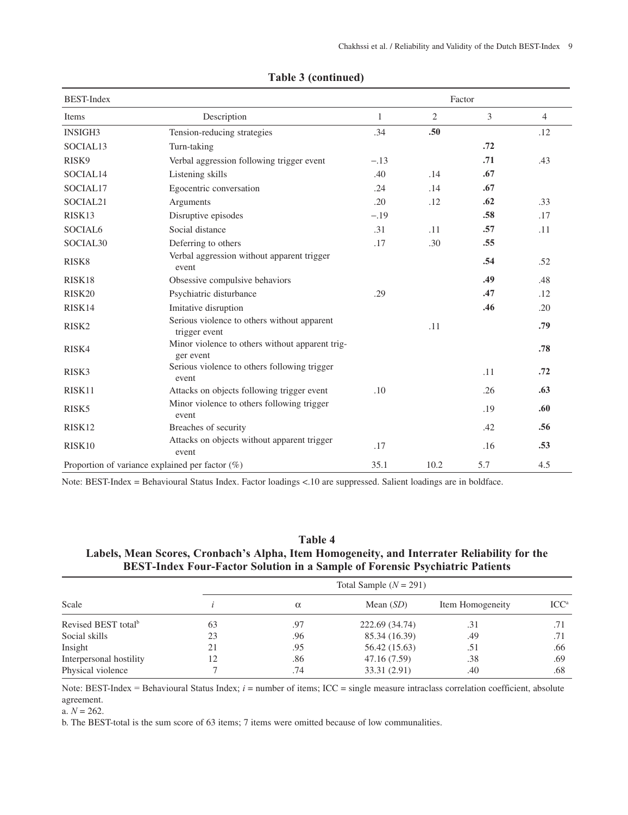| <b>BEST-Index</b>    |                                                              |              |                  | Factor |                |
|----------------------|--------------------------------------------------------------|--------------|------------------|--------|----------------|
| Items                | Description                                                  | $\mathbf{1}$ | 2                | 3      | $\overline{4}$ |
| <b>INSIGH3</b>       | Tension-reducing strategies                                  | .34          | .50 <sub>0</sub> |        | .12            |
| SOCIAL13             | Turn-taking                                                  |              |                  | .72    |                |
| RISK9                | Verbal aggression following trigger event                    | $-.13$       |                  | .71    | .43            |
| SOCIAL14             | Listening skills                                             | .40          | .14              | .67    |                |
| SOCIAL17             | Egocentric conversation                                      | .24          | .14              | .67    |                |
| SOCIAL21             | Arguments                                                    | .20          | .12              | .62    | .33            |
| RISK13               | Disruptive episodes                                          | $-.19$       |                  | .58    | .17            |
| SOCIAL <sub>6</sub>  | Social distance                                              | .31          | .11              | .57    | .11            |
| SOCIAL <sub>30</sub> | Deferring to others                                          | .17          | .30              | .55    |                |
| RISK8                | Verbal aggression without apparent trigger<br>event          |              |                  | .54    | .52            |
| RISK18               | Obsessive compulsive behaviors                               |              |                  | .49    | .48            |
| RISK20               | Psychiatric disturbance                                      | .29          |                  | .47    | .12            |
| RISK14               | Imitative disruption                                         |              |                  | .46    | .20            |
| RISK <sub>2</sub>    | Serious violence to others without apparent<br>trigger event |              | .11              |        | .79            |
| RISK4                | Minor violence to others without apparent trig-<br>ger event |              |                  |        | .78            |
| RISK3                | Serious violence to others following trigger<br>event        |              |                  | .11    | .72            |
| RISK11               | Attacks on objects following trigger event                   | .10          |                  | .26    | .63            |
| RISK <sub>5</sub>    | Minor violence to others following trigger<br>event          |              |                  | .19    | .60            |
| RISK12               | Breaches of security                                         |              |                  | .42    | .56            |
| RISK10               | Attacks on objects without apparent trigger<br>event         | .17          |                  | .16    | .53            |
|                      | Proportion of variance explained per factor $(\%)$           | 35.1         | 10.2             | 5.7    | 4.5            |

#### **Table 3 (continued)**

Note: BEST-Index = Behavioural Status Index. Factor loadings <.10 are suppressed. Salient loadings are in boldface.

# **Table 4 Labels, Mean Scores, Cronbach's Alpha, Item Homogeneity, and Interrater Reliability for the BEST-Index Four-Factor Solution in a Sample of Forensic Psychiatric Patients**

|                                 |    | Total Sample $(N = 291)$ |                |                  |                  |  |  |
|---------------------------------|----|--------------------------|----------------|------------------|------------------|--|--|
| Scale                           |    | $\alpha$                 | Mean $(SD)$    | Item Homogeneity | ICC <sup>a</sup> |  |  |
| Revised BEST total <sup>b</sup> | 63 | .97                      | 222.69 (34.74) | .31              | .71              |  |  |
| Social skills                   | 23 | .96                      | 85.34 (16.39)  | .49              |                  |  |  |
| Insight                         | 21 | .95                      | 56.42 (15.63)  | .51              | .66              |  |  |
| Interpersonal hostility         | 12 | .86                      | 47.16 (7.59)   | .38              | .69              |  |  |
| Physical violence               |    | .74                      | 33.31 (2.91)   | .40              | .68              |  |  |

Note: BEST-Index = Behavioural Status Index; *i* = number of items; ICC = single measure intraclass correlation coefficient, absolute agreement.

a. *N* = 262.

b. The BEST-total is the sum score of 63 items; 7 items were omitted because of low communalities.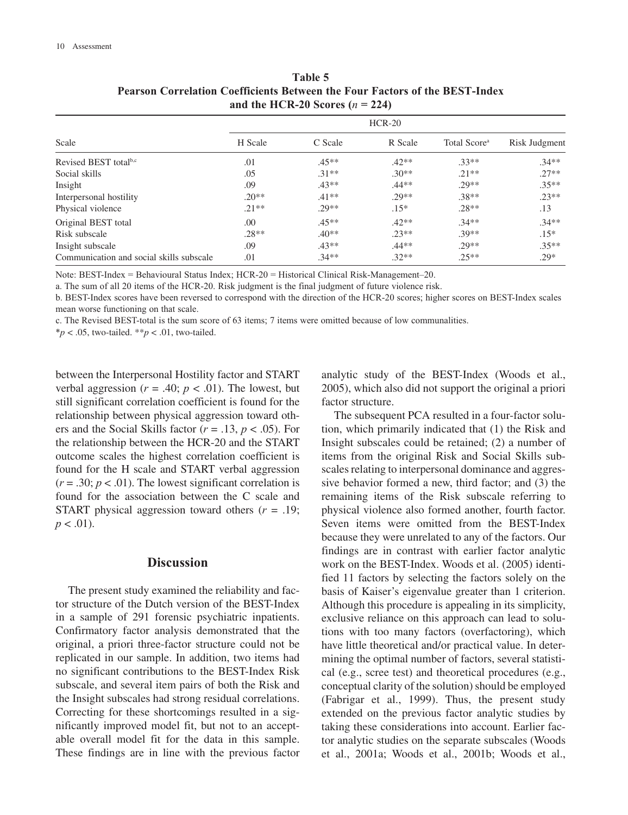| Scale                                    | H Scale | C Scale | R Scale | Total Score <sup>a</sup> | Risk Judgment |
|------------------------------------------|---------|---------|---------|--------------------------|---------------|
| Revised BEST total <sup>b,c</sup>        | .01     | $.45**$ | $.42**$ | $.33**$                  | $.34**$       |
| Social skills                            | .05     | $.31**$ | $.30**$ | $.21**$                  | $.27**$       |
| Insight                                  | .09     | $.43**$ | $.44**$ | $.29**$                  | $.35**$       |
| Interpersonal hostility                  | $.20**$ | $.41**$ | $.29**$ | $.38**$                  | $.23**$       |
| Physical violence                        | $.21**$ | $.29**$ | $.15*$  | $.28**$                  | .13           |
| Original BEST total                      | .00     | $.45**$ | $.42**$ | $.34**$                  | $.34**$       |
| Risk subscale                            | $.28**$ | $.40**$ | $.23**$ | $.39**$                  | $.15*$        |
| Insight subscale                         | .09     | $.43**$ | $.44**$ | $.29**$                  | $.35**$       |
| Communication and social skills subscale | .01     | $.34**$ | $.32**$ | $.25**$                  | $.29*$        |

**Table 5 Pearson Correlation Coefficients Between the Four Factors of the BEST-Index**  and the HCR-20 Scores  $(n = 224)$ 

Note: BEST-Index = Behavioural Status Index; HCR-20 = Historical Clinical Risk-Management–20.

a. The sum of all 20 items of the HCR-20. Risk judgment is the final judgment of future violence risk.

b. BEST-Index scores have been reversed to correspond with the direction of the HCR-20 scores; higher scores on BEST-Index scales mean worse functioning on that scale.

c. The Revised BEST-total is the sum score of 63 items; 7 items were omitted because of low communalities.

 $**p* < .05$ , two-tailed.  $**p* < .01$ , two-tailed.

between the Interpersonal Hostility factor and START verbal aggression ( $r = .40$ ;  $p < .01$ ). The lowest, but still significant correlation coefficient is found for the relationship between physical aggression toward others and the Social Skills factor (*r* = .13, *p* < .05). For the relationship between the HCR-20 and the START outcome scales the highest correlation coefficient is found for the H scale and START verbal aggression  $(r = .30; p < .01)$ . The lowest significant correlation is found for the association between the C scale and START physical aggression toward others (*r* = .19;  $p < .01$ ).

#### **Discussion**

The present study examined the reliability and factor structure of the Dutch version of the BEST-Index in a sample of 291 forensic psychiatric inpatients. Confirmatory factor analysis demonstrated that the original, a priori three-factor structure could not be replicated in our sample. In addition, two items had no significant contributions to the BEST-Index Risk subscale, and several item pairs of both the Risk and the Insight subscales had strong residual correlations. Correcting for these shortcomings resulted in a significantly improved model fit, but not to an acceptable overall model fit for the data in this sample. These findings are in line with the previous factor analytic study of the BEST-Index (Woods et al., 2005), which also did not support the original a priori factor structure.

The subsequent PCA resulted in a four-factor solution, which primarily indicated that (1) the Risk and Insight subscales could be retained; (2) a number of items from the original Risk and Social Skills subscales relating to interpersonal dominance and aggressive behavior formed a new, third factor; and (3) the remaining items of the Risk subscale referring to physical violence also formed another, fourth factor. Seven items were omitted from the BEST-Index because they were unrelated to any of the factors. Our findings are in contrast with earlier factor analytic work on the BEST-Index. Woods et al. (2005) identified 11 factors by selecting the factors solely on the basis of Kaiser's eigenvalue greater than 1 criterion. Although this procedure is appealing in its simplicity, exclusive reliance on this approach can lead to solutions with too many factors (overfactoring), which have little theoretical and/or practical value. In determining the optimal number of factors, several statistical (e.g., scree test) and theoretical procedures (e.g., conceptual clarity of the solution) should be employed (Fabrigar et al., 1999). Thus, the present study extended on the previous factor analytic studies by taking these considerations into account. Earlier factor analytic studies on the separate subscales (Woods et al., 2001a; Woods et al., 2001b; Woods et al.,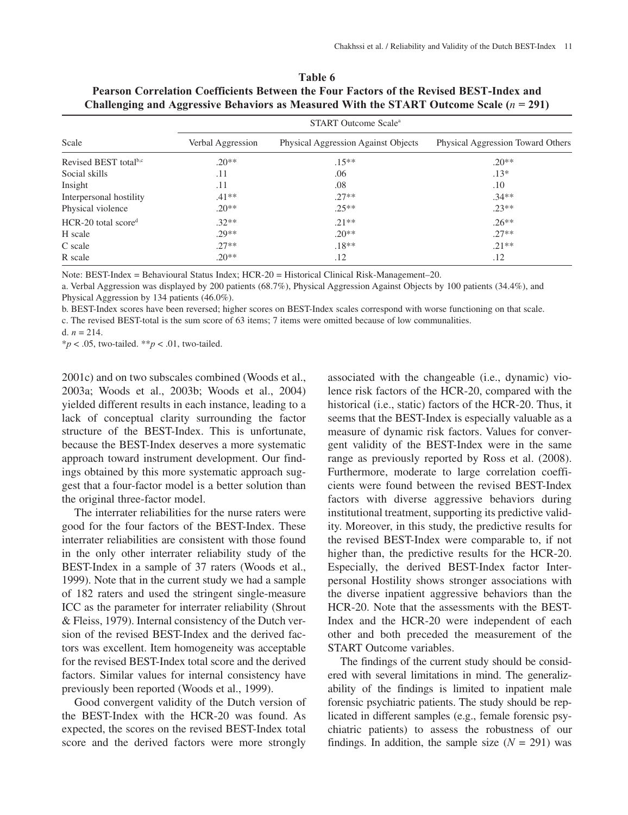|                                   | <b>START Outcome Scale</b> <sup>a</sup> |                                     |                                          |  |  |  |
|-----------------------------------|-----------------------------------------|-------------------------------------|------------------------------------------|--|--|--|
| Scale                             | Verbal Aggression                       | Physical Aggression Against Objects | <b>Physical Aggression Toward Others</b> |  |  |  |
| Revised BEST total <sup>b,c</sup> | $.20**$                                 | $.15**$                             | $.20**$                                  |  |  |  |
| Social skills                     | .11                                     | .06                                 | $.13*$                                   |  |  |  |
| Insight                           | .11                                     | .08                                 | .10                                      |  |  |  |
| Interpersonal hostility           | $.41**$                                 | $.27**$                             | $.34**$                                  |  |  |  |
| Physical violence                 | $.20**$                                 | $.25**$                             | $.23**$                                  |  |  |  |
| $HCR-20$ total score <sup>d</sup> | $.32**$                                 | $21**$                              | $.26**$                                  |  |  |  |
| H scale                           | $29**$                                  | $.20**$                             | $.27**$                                  |  |  |  |
| C scale                           | $27**$                                  | $.18**$                             | $.21**$                                  |  |  |  |
| R scale                           | $.20**$                                 | .12                                 | .12                                      |  |  |  |

**Table 6 Pearson Correlation Coefficients Between the Four Factors of the Revised BEST-Index and Challenging and Aggressive Behaviors as Measured With the START Outcome Scale (***n* **= 291)**

Note: BEST-Index = Behavioural Status Index; HCR-20 = Historical Clinical Risk-Management–20.

a. Verbal Aggression was displayed by 200 patients (68.7%), Physical Aggression Against Objects by 100 patients (34.4%), and Physical Aggression by 134 patients (46.0%).

b. BEST-Index scores have been reversed; higher scores on BEST-Index scales correspond with worse functioning on that scale. c. The revised BEST-total is the sum score of 63 items; 7 items were omitted because of low communalities.

d.  $n = 214$ .

\**p* < .05, two-tailed. \*\**p* < .01, two-tailed.

2001c) and on two subscales combined (Woods et al., 2003a; Woods et al., 2003b; Woods et al., 2004) yielded different results in each instance, leading to a lack of conceptual clarity surrounding the factor structure of the BEST-Index. This is unfortunate, because the BEST-Index deserves a more systematic approach toward instrument development. Our findings obtained by this more systematic approach suggest that a four-factor model is a better solution than the original three-factor model.

The interrater reliabilities for the nurse raters were good for the four factors of the BEST-Index. These interrater reliabilities are consistent with those found in the only other interrater reliability study of the BEST-Index in a sample of 37 raters (Woods et al., 1999). Note that in the current study we had a sample of 182 raters and used the stringent single-measure ICC as the parameter for interrater reliability (Shrout & Fleiss, 1979). Internal consistency of the Dutch version of the revised BEST-Index and the derived factors was excellent. Item homogeneity was acceptable for the revised BEST-Index total score and the derived factors. Similar values for internal consistency have previously been reported (Woods et al., 1999).

Good convergent validity of the Dutch version of the BEST-Index with the HCR-20 was found. As expected, the scores on the revised BEST-Index total score and the derived factors were more strongly associated with the changeable (i.e., dynamic) violence risk factors of the HCR-20, compared with the historical (i.e., static) factors of the HCR-20. Thus, it seems that the BEST-Index is especially valuable as a measure of dynamic risk factors. Values for convergent validity of the BEST-Index were in the same range as previously reported by Ross et al. (2008). Furthermore, moderate to large correlation coefficients were found between the revised BEST-Index factors with diverse aggressive behaviors during institutional treatment, supporting its predictive validity. Moreover, in this study, the predictive results for the revised BEST-Index were comparable to, if not higher than, the predictive results for the HCR-20. Especially, the derived BEST-Index factor Interpersonal Hostility shows stronger associations with the diverse inpatient aggressive behaviors than the HCR-20. Note that the assessments with the BEST-Index and the HCR-20 were independent of each other and both preceded the measurement of the START Outcome variables.

The findings of the current study should be considered with several limitations in mind. The generalizability of the findings is limited to inpatient male forensic psychiatric patients. The study should be replicated in different samples (e.g., female forensic psychiatric patients) to assess the robustness of our findings. In addition, the sample size  $(N = 291)$  was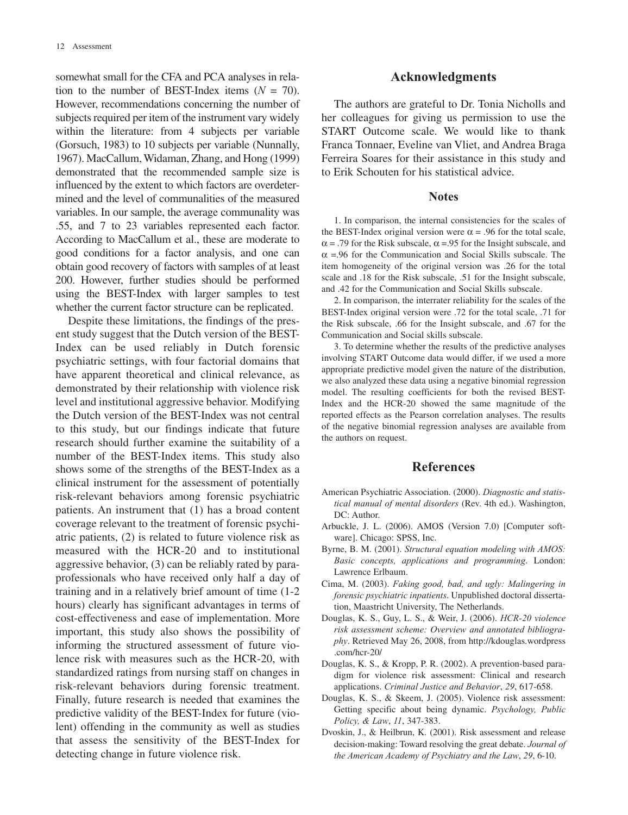somewhat small for the CFA and PCA analyses in relation to the number of BEST-Index items  $(N = 70)$ . However, recommendations concerning the number of subjects required per item of the instrument vary widely within the literature: from 4 subjects per variable (Gorsuch, 1983) to 10 subjects per variable (Nunnally, 1967). MacCallum, Widaman, Zhang, and Hong (1999) demonstrated that the recommended sample size is influenced by the extent to which factors are overdetermined and the level of communalities of the measured variables. In our sample, the average communality was .55, and 7 to 23 variables represented each factor. According to MacCallum et al., these are moderate to good conditions for a factor analysis, and one can obtain good recovery of factors with samples of at least 200. However, further studies should be performed using the BEST-Index with larger samples to test whether the current factor structure can be replicated.

Despite these limitations, the findings of the present study suggest that the Dutch version of the BEST-Index can be used reliably in Dutch forensic psychiatric settings, with four factorial domains that have apparent theoretical and clinical relevance, as demonstrated by their relationship with violence risk level and institutional aggressive behavior. Modifying the Dutch version of the BEST-Index was not central to this study, but our findings indicate that future research should further examine the suitability of a number of the BEST-Index items. This study also shows some of the strengths of the BEST-Index as a clinical instrument for the assessment of potentially risk-relevant behaviors among forensic psychiatric patients. An instrument that (1) has a broad content coverage relevant to the treatment of forensic psychiatric patients, (2) is related to future violence risk as measured with the HCR-20 and to institutional aggressive behavior, (3) can be reliably rated by paraprofessionals who have received only half a day of training and in a relatively brief amount of time (1-2 hours) clearly has significant advantages in terms of cost-effectiveness and ease of implementation. More important, this study also shows the possibility of informing the structured assessment of future violence risk with measures such as the HCR-20, with standardized ratings from nursing staff on changes in risk-relevant behaviors during forensic treatment. Finally, future research is needed that examines the predictive validity of the BEST-Index for future (violent) offending in the community as well as studies that assess the sensitivity of the BEST-Index for detecting change in future violence risk.

#### **Acknowledgments**

The authors are grateful to Dr. Tonia Nicholls and her colleagues for giving us permission to use the START Outcome scale. We would like to thank Franca Tonnaer, Eveline van Vliet, and Andrea Braga Ferreira Soares for their assistance in this study and to Erik Schouten for his statistical advice.

#### **Notes**

1. In comparison, the internal consistencies for the scales of the BEST-Index original version were  $\alpha$  = .96 for the total scale,  $\alpha$  = .79 for the Risk subscale,  $\alpha$  = .95 for the Insight subscale, and  $\alpha$  =.96 for the Communication and Social Skills subscale. The item homogeneity of the original version was .26 for the total scale and .18 for the Risk subscale, .51 for the Insight subscale, and .42 for the Communication and Social Skills subscale.

2. In comparison, the interrater reliability for the scales of the BEST-Index original version were .72 for the total scale, .71 for the Risk subscale, .66 for the Insight subscale, and .67 for the Communication and Social skills subscale.

3. To determine whether the results of the predictive analyses involving START Outcome data would differ, if we used a more appropriate predictive model given the nature of the distribution, we also analyzed these data using a negative binomial regression model. The resulting coefficients for both the revised BEST-Index and the HCR-20 showed the same magnitude of the reported effects as the Pearson correlation analyses. The results of the negative binomial regression analyses are available from the authors on request.

#### **References**

- American Psychiatric Association. (2000). *Diagnostic and statistical manual of mental disorders* (Rev. 4th ed.). Washington, DC: Author.
- Arbuckle, J. L. (2006). AMOS (Version 7.0) [Computer software]. Chicago: SPSS, Inc.
- Byrne, B. M. (2001). *Structural equation modeling with AMOS: Basic concepts, applications and programming*. London: Lawrence Erlbaum.
- Cima, M. (2003). *Faking good, bad, and ugly: Malingering in forensic psychiatric inpatients*. Unpublished doctoral dissertation, Maastricht University, The Netherlands.
- Douglas, K. S., Guy, L. S., & Weir, J. (2006). *HCR-20 violence risk assessment scheme: Overview and annotated bibliography*. Retrieved May 26, 2008, from http://kdouglas.wordpress .com/hcr-20/
- Douglas, K. S., & Kropp, P. R. (2002). A prevention-based paradigm for violence risk assessment: Clinical and research applications. *Criminal Justice and Behavior*, *29*, 617-658.
- Douglas, K. S., & Skeem, J. (2005). Violence risk assessment: Getting specific about being dynamic. *Psychology, Public Policy, & Law*, *11*, 347-383.
- Dvoskin, J., & Heilbrun, K. (2001). Risk assessment and release decision-making: Toward resolving the great debate. *Journal of the American Academy of Psychiatry and the Law*, *29*, 6-10.